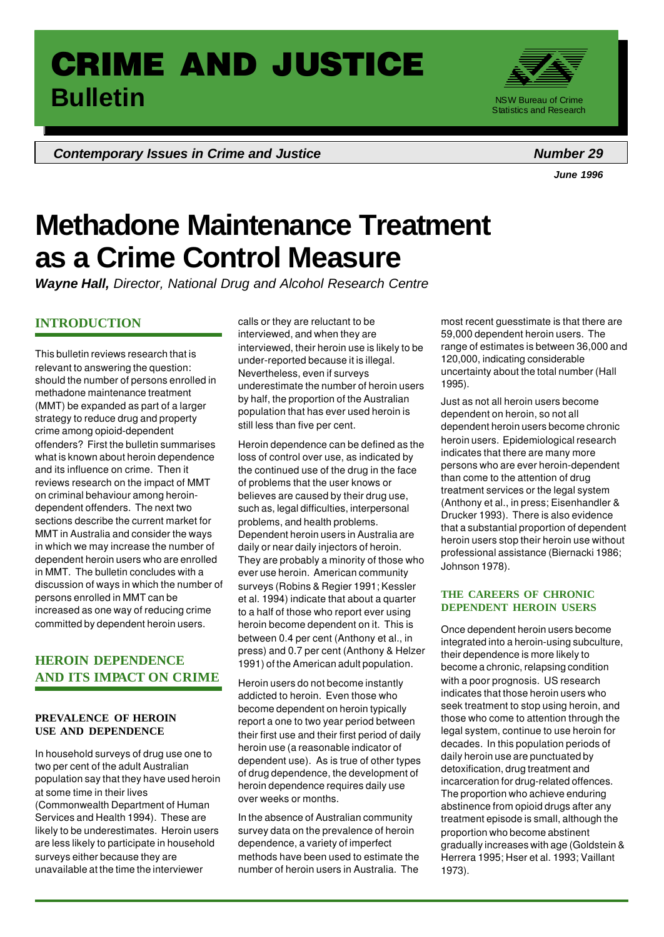# **CRIME AND JUSTICE Bulletin** NSW Bureau of Crime

**Contemporary Issues in Crime and Justice** *Number* **29** 



*June 1996*

# **Methadone Maintenance Treatment as a Crime Control Measure**

*Wayne Hall, Director, National Drug and Alcohol Research Centre*

# **INTRODUCTION**

This bulletin reviews research that is relevant to answering the question: should the number of persons enrolled in methadone maintenance treatment (MMT) be expanded as part of a larger strategy to reduce drug and property crime among opioid-dependent offenders? First the bulletin summarises what is known about heroin dependence and its influence on crime. Then it reviews research on the impact of MMT on criminal behaviour among heroindependent offenders. The next two sections describe the current market for MMT in Australia and consider the ways in which we may increase the number of dependent heroin users who are enrolled in MMT. The bulletin concludes with a discussion of ways in which the number of persons enrolled in MMT can be increased as one way of reducing crime committed by dependent heroin users.

# **HEROIN DEPENDENCE AND ITS IMPACT ON CRIME**

#### **PREVALENCE OF HEROIN USE AND DEPENDENCE**

In household surveys of drug use one to two per cent of the adult Australian population say that they have used heroin at some time in their lives (Commonwealth Department of Human Services and Health 1994). These are likely to be underestimates. Heroin users are less likely to participate in household surveys either because they are unavailable at the time the interviewer

calls or they are reluctant to be interviewed, and when they are interviewed, their heroin use is likely to be under-reported because it is illegal. Nevertheless, even if surveys underestimate the number of heroin users by half, the proportion of the Australian population that has ever used heroin is still less than five per cent.

Heroin dependence can be defined as the loss of control over use, as indicated by the continued use of the drug in the face of problems that the user knows or believes are caused by their drug use, such as, legal difficulties, interpersonal problems, and health problems. Dependent heroin users in Australia are daily or near daily injectors of heroin. They are probably a minority of those who ever use heroin. American community surveys (Robins & Regier 1991; Kessler et al. 1994) indicate that about a quarter to a half of those who report ever using heroin become dependent on it. This is between 0.4 per cent (Anthony et al., in press) and 0.7 per cent (Anthony & Helzer 1991) of the American adult population.

Heroin users do not become instantly addicted to heroin. Even those who become dependent on heroin typically report a one to two year period between their first use and their first period of daily heroin use (a reasonable indicator of dependent use). As is true of other types of drug dependence, the development of heroin dependence requires daily use over weeks or months.

In the absence of Australian community survey data on the prevalence of heroin dependence, a variety of imperfect methods have been used to estimate the number of heroin users in Australia. The

1

most recent guesstimate is that there are 59,000 dependent heroin users. The range of estimates is between 36,000 and 120,000, indicating considerable uncertainty about the total number (Hall 1995).

Just as not all heroin users become dependent on heroin, so not all dependent heroin users become chronic heroin users. Epidemiological research indicates that there are many more persons who are ever heroin-dependent than come to the attention of drug treatment services or the legal system (Anthony et al., in press; Eisenhandler & Drucker 1993). There is also evidence that a substantial proportion of dependent heroin users stop their heroin use without professional assistance (Biernacki 1986; Johnson 1978).

## **THE CAREERS OF CHRONIC DEPENDENT HEROIN USERS**

Once dependent heroin users become integrated into a heroin-using subculture, their dependence is more likely to become a chronic, relapsing condition with a poor prognosis. US research indicates that those heroin users who seek treatment to stop using heroin, and those who come to attention through the legal system, continue to use heroin for decades. In this population periods of daily heroin use are punctuated by detoxification, drug treatment and incarceration for drug-related offences. The proportion who achieve enduring abstinence from opioid drugs after any treatment episode is small, although the proportion who become abstinent gradually increases with age (Goldstein & Herrera 1995; Hser et al. 1993; Vaillant 1973).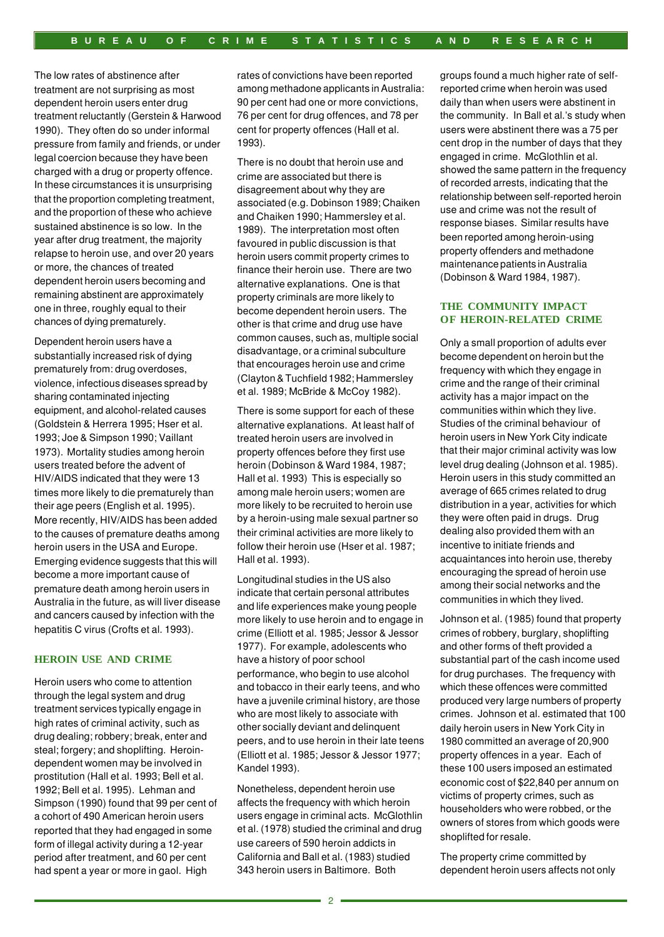The low rates of abstinence after treatment are not surprising as most dependent heroin users enter drug treatment reluctantly (Gerstein & Harwood 1990). They often do so under informal pressure from family and friends, or under legal coercion because they have been charged with a drug or property offence. In these circumstances it is unsurprising that the proportion completing treatment, and the proportion of these who achieve sustained abstinence is so low. In the year after drug treatment, the majority relapse to heroin use, and over 20 years or more, the chances of treated dependent heroin users becoming and remaining abstinent are approximately one in three, roughly equal to their chances of dying prematurely.

Dependent heroin users have a substantially increased risk of dying prematurely from: drug overdoses, violence, infectious diseases spread by sharing contaminated injecting equipment, and alcohol-related causes (Goldstein & Herrera 1995; Hser et al. 1993; Joe & Simpson 1990; Vaillant 1973). Mortality studies among heroin users treated before the advent of HIV/AIDS indicated that they were 13 times more likely to die prematurely than their age peers (English et al. 1995). More recently, HIV/AIDS has been added to the causes of premature deaths among heroin users in the USA and Europe. Emerging evidence suggests that this will become a more important cause of premature death among heroin users in Australia in the future, as will liver disease and cancers caused by infection with the hepatitis C virus (Crofts et al. 1993).

#### **HEROIN USE AND CRIME**

Heroin users who come to attention through the legal system and drug treatment services typically engage in high rates of criminal activity, such as drug dealing; robbery; break, enter and steal; forgery; and shoplifting. Heroindependent women may be involved in prostitution (Hall et al. 1993; Bell et al. 1992; Bell et al. 1995). Lehman and Simpson (1990) found that 99 per cent of a cohort of 490 American heroin users reported that they had engaged in some form of illegal activity during a 12-year period after treatment, and 60 per cent had spent a year or more in gaol. High

rates of convictions have been reported among methadone applicants in Australia: 90 per cent had one or more convictions, 76 per cent for drug offences, and 78 per cent for property offences (Hall et al. 1993).

There is no doubt that heroin use and crime are associated but there is disagreement about why they are associated (e.g. Dobinson 1989; Chaiken and Chaiken 1990; Hammersley et al. 1989). The interpretation most often favoured in public discussion is that heroin users commit property crimes to finance their heroin use. There are two alternative explanations. One is that property criminals are more likely to become dependent heroin users. The other is that crime and drug use have common causes, such as, multiple social disadvantage, or a criminal subculture that encourages heroin use and crime (Clayton & Tuchfield 1982; Hammersley et al. 1989; McBride & McCoy 1982).

There is some support for each of these alternative explanations. At least half of treated heroin users are involved in property offences before they first use heroin (Dobinson & Ward 1984, 1987; Hall et al. 1993) This is especially so among male heroin users; women are more likely to be recruited to heroin use by a heroin-using male sexual partner so their criminal activities are more likely to follow their heroin use (Hser et al. 1987; Hall et al. 1993).

Longitudinal studies in the US also indicate that certain personal attributes and life experiences make young people more likely to use heroin and to engage in crime (Elliott et al. 1985; Jessor & Jessor 1977). For example, adolescents who have a history of poor school performance, who begin to use alcohol and tobacco in their early teens, and who have a juvenile criminal history, are those who are most likely to associate with other socially deviant and delinquent peers, and to use heroin in their late teens (Elliott et al. 1985; Jessor & Jessor 1977; Kandel 1993).

Nonetheless, dependent heroin use affects the frequency with which heroin users engage in criminal acts. McGlothlin et al. (1978) studied the criminal and drug use careers of 590 heroin addicts in California and Ball et al. (1983) studied 343 heroin users in Baltimore. Both

groups found a much higher rate of selfreported crime when heroin was used daily than when users were abstinent in the community. In Ball et al.'s study when users were abstinent there was a 75 per cent drop in the number of days that they engaged in crime. McGlothlin et al. showed the same pattern in the frequency of recorded arrests, indicating that the relationship between self-reported heroin use and crime was not the result of response biases. Similar results have been reported among heroin-using property offenders and methadone maintenance patients in Australia (Dobinson & Ward 1984, 1987).

#### **THE COMMUNITY IMPACT OF HEROIN-RELATED CRIME**

Only a small proportion of adults ever become dependent on heroin but the frequency with which they engage in crime and the range of their criminal activity has a major impact on the communities within which they live. Studies of the criminal behaviour of heroin users in New York City indicate that their major criminal activity was low level drug dealing (Johnson et al. 1985). Heroin users in this study committed an average of 665 crimes related to drug distribution in a year, activities for which they were often paid in drugs. Drug dealing also provided them with an incentive to initiate friends and acquaintances into heroin use, thereby encouraging the spread of heroin use among their social networks and the communities in which they lived.

Johnson et al. (1985) found that property crimes of robbery, burglary, shoplifting and other forms of theft provided a substantial part of the cash income used for drug purchases. The frequency with which these offences were committed produced very large numbers of property crimes. Johnson et al. estimated that 100 daily heroin users in New York City in 1980 committed an average of 20,900 property offences in a year. Each of these 100 users imposed an estimated economic cost of \$22,840 per annum on victims of property crimes, such as householders who were robbed, or the owners of stores from which goods were shoplifted for resale.

The property crime committed by dependent heroin users affects not only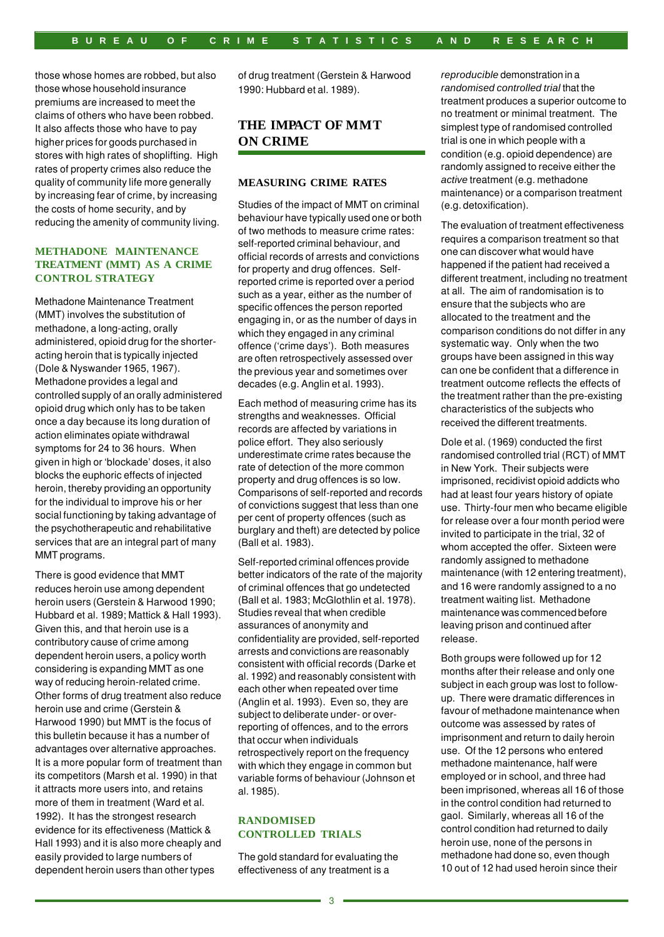those whose homes are robbed, but also those whose household insurance premiums are increased to meet the claims of others who have been robbed. It also affects those who have to pay higher prices for goods purchased in stores with high rates of shoplifting. High rates of property crimes also reduce the quality of community life more generally by increasing fear of crime, by increasing the costs of home security, and by reducing the amenity of community living.

## **METHADONE MAINTENANCE TREATMENT (MMT) AS A CRIME CONTROL STRATEGY**

Methadone Maintenance Treatment (MMT) involves the substitution of methadone, a long-acting, orally administered, opioid drug for the shorteracting heroin that is typically injected (Dole & Nyswander 1965, 1967). Methadone provides a legal and controlled supply of an orally administered opioid drug which only has to be taken once a day because its long duration of action eliminates opiate withdrawal symptoms for 24 to 36 hours. When given in high or 'blockade' doses, it also blocks the euphoric effects of injected heroin, thereby providing an opportunity for the individual to improve his or her social functioning by taking advantage of the psychotherapeutic and rehabilitative services that are an integral part of many MMT programs.

There is good evidence that MMT reduces heroin use among dependent heroin users (Gerstein & Harwood 1990; Hubbard et al. 1989; Mattick & Hall 1993). Given this, and that heroin use is a contributory cause of crime among dependent heroin users, a policy worth considering is expanding MMT as one way of reducing heroin-related crime. Other forms of drug treatment also reduce heroin use and crime (Gerstein & Harwood 1990) but MMT is the focus of this bulletin because it has a number of advantages over alternative approaches. It is a more popular form of treatment than its competitors (Marsh et al. 1990) in that it attracts more users into, and retains more of them in treatment (Ward et al. 1992). It has the strongest research evidence for its effectiveness (Mattick & Hall 1993) and it is also more cheaply and easily provided to large numbers of dependent heroin users than other types

of drug treatment (Gerstein & Harwood 1990: Hubbard et al. 1989).

## **THE IMPACT OF MMT ON CRIME**

#### **MEASURING CRIME RATES**

Studies of the impact of MMT on criminal behaviour have typically used one or both of two methods to measure crime rates: self-reported criminal behaviour, and official records of arrests and convictions for property and drug offences. Selfreported crime is reported over a period such as a year, either as the number of specific offences the person reported engaging in, or as the number of days in which they engaged in any criminal offence ('crime days'). Both measures are often retrospectively assessed over the previous year and sometimes over decades (e.g. Anglin et al. 1993).

Each method of measuring crime has its strengths and weaknesses. Official records are affected by variations in police effort. They also seriously underestimate crime rates because the rate of detection of the more common property and drug offences is so low. Comparisons of self-reported and records of convictions suggest that less than one per cent of property offences (such as burglary and theft) are detected by police (Ball et al. 1983).

Self-reported criminal offences provide better indicators of the rate of the majority of criminal offences that go undetected (Ball et al. 1983; McGlothlin et al. 1978). Studies reveal that when credible assurances of anonymity and confidentiality are provided, self-reported arrests and convictions are reasonably consistent with official records (Darke et al. 1992) and reasonably consistent with each other when repeated over time (Anglin et al. 1993). Even so, they are subject to deliberate under- or overreporting of offences, and to the errors that occur when individuals retrospectively report on the frequency with which they engage in common but variable forms of behaviour (Johnson et al. 1985).

## **RANDOMISED CONTROLLED TRIALS**

The gold standard for evaluating the effectiveness of any treatment is a

*reproducible* demonstration in a *randomised controlled trial* that the treatment produces a superior outcome to no treatment or minimal treatment. The simplest type of randomised controlled trial is one in which people with a condition (e.g. opioid dependence) are randomly assigned to receive either the *active* treatment (e.g. methadone maintenance) or a comparison treatment (e.g. detoxification).

The evaluation of treatment effectiveness requires a comparison treatment so that one can discover what would have happened if the patient had received a different treatment, including no treatment at all. The aim of randomisation is to ensure that the subjects who are allocated to the treatment and the comparison conditions do not differ in any systematic way. Only when the two groups have been assigned in this way can one be confident that a difference in treatment outcome reflects the effects of the treatment rather than the pre-existing characteristics of the subjects who received the different treatments.

Dole et al. (1969) conducted the first randomised controlled trial (RCT) of MMT in New York. Their subjects were imprisoned, recidivist opioid addicts who had at least four years history of opiate use. Thirty-four men who became eligible for release over a four month period were invited to participate in the trial, 32 of whom accepted the offer. Sixteen were randomly assigned to methadone maintenance (with 12 entering treatment), and 16 were randomly assigned to a no treatment waiting list. Methadone maintenance was commenced before leaving prison and continued after release.

Both groups were followed up for 12 months after their release and only one subject in each group was lost to followup. There were dramatic differences in favour of methadone maintenance when outcome was assessed by rates of imprisonment and return to daily heroin use. Of the 12 persons who entered methadone maintenance, half were employed or in school, and three had been imprisoned, whereas all 16 of those in the control condition had returned to gaol. Similarly, whereas all 16 of the control condition had returned to daily heroin use, none of the persons in methadone had done so, even though 10 out of 12 had used heroin since their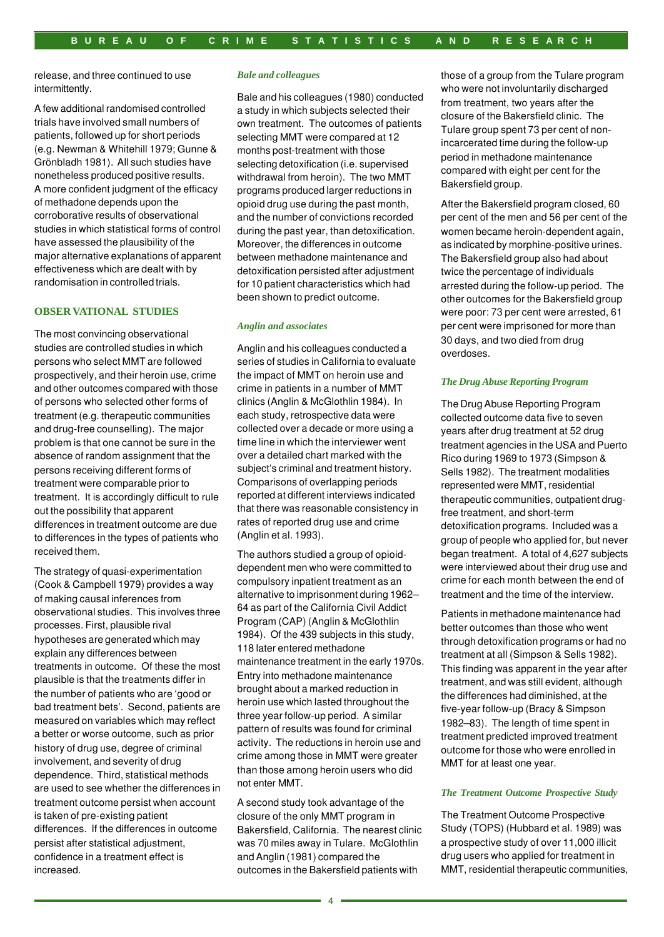release, and three continued to use intermittently.

A few additional randomised controlled trials have involved small numbers of patients, followed up for short periods (e.g. Newman & Whitehill 1979; Gunne & Grönbladh 1981). All such studies have nonetheless produced positive results. A more confident judgment of the efficacy of methadone depends upon the corroborative results of observational studies in which statistical forms of control have assessed the plausibility of the major alternative explanations of apparent effectiveness which are dealt with by randomisation in controlled trials.

#### **OBSER VATIONAL STUDIES**

The most convincing observational studies are controlled studies in which persons who select MMT are followed prospectively, and their heroin use, crime and other outcomes compared with those of persons who selected other forms of treatment (e.g. therapeutic communities and drug-free counselling). The major problem is that one cannot be sure in the absence of random assignment that the persons receiving different forms of treatment were comparable prior to treatment. It is accordingly difficult to rule out the possibility that apparent differences in treatment outcome are due to differences in the types of patients who received them.

The strategy of quasi-experimentation (Cook & Campbell 1979) provides a way of making causal inferences from observational studies. This involves three processes. First, plausible rival hypotheses are generated which may explain any differences between treatments in outcome. Of these the most plausible is that the treatments differ in the number of patients who are 'good or bad treatment bets'. Second, patients are measured on variables which may reflect a better or worse outcome, such as prior history of drug use, degree of criminal involvement, and severity of drug dependence. Third, statistical methods are used to see whether the differences in treatment outcome persist when account is taken of pre-existing patient differences. If the differences in outcome persist after statistical adjustment, confidence in a treatment effect is increased.

#### *Bale and colleagues*

Bale and his colleagues (1980) conducted a study in which subjects selected their own treatment. The outcomes of patients selecting MMT were compared at 12 months post-treatment with those selecting detoxification (i.e. supervised withdrawal from heroin). The two MMT programs produced larger reductions in opioid drug use during the past month, and the number of convictions recorded during the past year, than detoxification. Moreover, the differences in outcome between methadone maintenance and detoxification persisted after adjustment for 10 patient characteristics which had been shown to predict outcome.

#### *Anglin and associates*

Anglin and his colleagues conducted a series of studies in California to evaluate the impact of MMT on heroin use and crime in patients in a number of MMT clinics (Anglin & McGlothlin 1984). In each study, retrospective data were collected over a decade or more using a time line in which the interviewer went over a detailed chart marked with the subject's criminal and treatment history. Comparisons of overlapping periods reported at different interviews indicated that there was reasonable consistency in rates of reported drug use and crime (Anglin et al. 1993).

The authors studied a group of opioiddependent men who were committed to compulsory inpatient treatment as an alternative to imprisonment during 1962– 64 as part of the California Civil Addict Program (CAP) (Anglin & McGlothlin 1984). Of the 439 subjects in this study, 118 later entered methadone maintenance treatment in the early 1970s. Entry into methadone maintenance brought about a marked reduction in heroin use which lasted throughout the three year follow-up period. A similar pattern of results was found for criminal activity. The reductions in heroin use and crime among those in MMT were greater than those among heroin users who did not enter MMT.

A second study took advantage of the closure of the only MMT program in Bakersfield, California. The nearest clinic was 70 miles away in Tulare. McGlothlin and Anglin (1981) compared the outcomes in the Bakersfield patients with

those of a group from the Tulare program who were not involuntarily discharged from treatment, two years after the closure of the Bakersfield clinic. The Tulare group spent 73 per cent of nonincarcerated time during the follow-up period in methadone maintenance compared with eight per cent for the Bakersfield group.

After the Bakersfield program closed, 60 per cent of the men and 56 per cent of the women became heroin-dependent again, as indicated by morphine-positive urines. The Bakersfield group also had about twice the percentage of individuals arrested during the follow-up period. The other outcomes for the Bakersfield group were poor: 73 per cent were arrested, 61 per cent were imprisoned for more than 30 days, and two died from drug overdoses.

#### *The Drug Abuse Reporting Program*

The Drug Abuse Reporting Program collected outcome data five to seven years after drug treatment at 52 drug treatment agencies in the USA and Puerto Rico during 1969 to 1973 (Simpson & Sells 1982). The treatment modalities represented were MMT, residential therapeutic communities, outpatient drugfree treatment, and short-term detoxification programs. Included was a group of people who applied for, but never began treatment. A total of 4,627 subjects were interviewed about their drug use and crime for each month between the end of treatment and the time of the interview.

Patients in methadone maintenance had better outcomes than those who went through detoxification programs or had no treatment at all (Simpson & Sells 1982). This finding was apparent in the year after treatment, and was still evident, although the differences had diminished, at the five-year follow-up (Bracy & Simpson 1982–83). The length of time spent in treatment predicted improved treatment outcome for those who were enrolled in MMT for at least one year.

#### *The Treatment Outcome Prospective Study*

The Treatment Outcome Prospective Study (TOPS) (Hubbard et al. 1989) was a prospective study of over 11,000 illicit drug users who applied for treatment in MMT, residential therapeutic communities,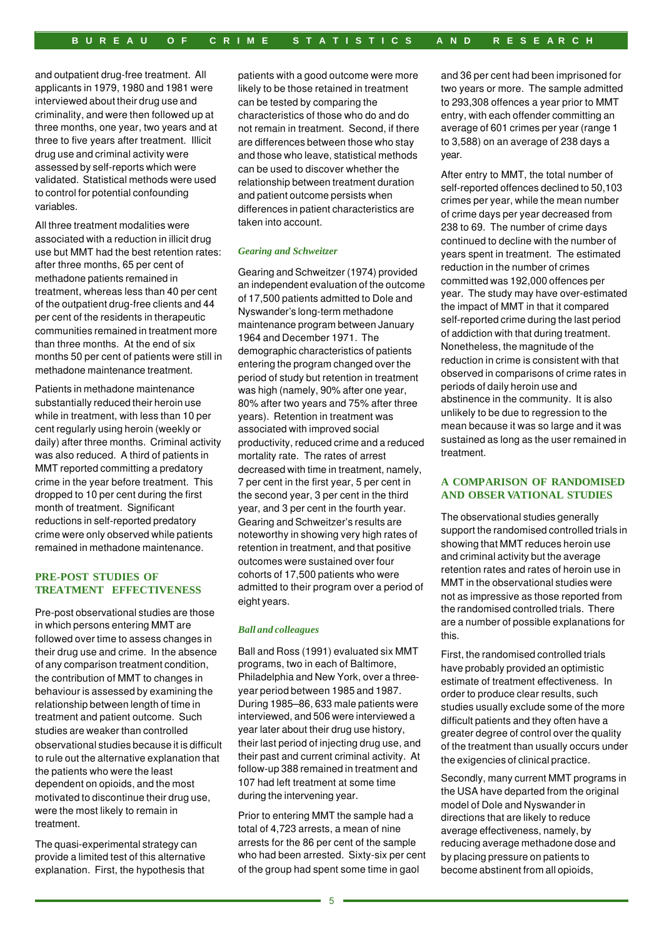and outpatient drug-free treatment. All applicants in 1979, 1980 and 1981 were interviewed about their drug use and criminality, and were then followed up at three months, one year, two years and at three to five years after treatment. Illicit drug use and criminal activity were assessed by self-reports which were validated. Statistical methods were used to control for potential confounding variables.

All three treatment modalities were associated with a reduction in illicit drug use but MMT had the best retention rates: after three months, 65 per cent of methadone patients remained in treatment, whereas less than 40 per cent of the outpatient drug-free clients and 44 per cent of the residents in therapeutic communities remained in treatment more than three months. At the end of six months 50 per cent of patients were still in methadone maintenance treatment.

Patients in methadone maintenance substantially reduced their heroin use while in treatment, with less than 10 per cent regularly using heroin (weekly or daily) after three months. Criminal activity was also reduced. A third of patients in MMT reported committing a predatory crime in the year before treatment. This dropped to 10 per cent during the first month of treatment. Significant reductions in self-reported predatory crime were only observed while patients remained in methadone maintenance.

## **PRE-POST STUDIES OF TREATMENT EFFECTIVENESS**

Pre-post observational studies are those in which persons entering MMT are followed over time to assess changes in their drug use and crime. In the absence of any comparison treatment condition, the contribution of MMT to changes in behaviour is assessed by examining the relationship between length of time in treatment and patient outcome. Such studies are weaker than controlled observational studies because it is difficult to rule out the alternative explanation that the patients who were the least dependent on opioids, and the most motivated to discontinue their drug use, were the most likely to remain in treatment.

The quasi-experimental strategy can provide a limited test of this alternative explanation. First, the hypothesis that patients with a good outcome were more likely to be those retained in treatment can be tested by comparing the characteristics of those who do and do not remain in treatment. Second, if there are differences between those who stay and those who leave, statistical methods can be used to discover whether the relationship between treatment duration and patient outcome persists when differences in patient characteristics are taken into account.

#### *Gearing and Schweitzer*

Gearing and Schweitzer (1974) provided an independent evaluation of the outcome of 17,500 patients admitted to Dole and Nyswander's long-term methadone maintenance program between January 1964 and December 1971. The demographic characteristics of patients entering the program changed over the period of study but retention in treatment was high (namely, 90% after one year, 80% after two years and 75% after three years). Retention in treatment was associated with improved social productivity, reduced crime and a reduced mortality rate. The rates of arrest decreased with time in treatment, namely, 7 per cent in the first year, 5 per cent in the second year, 3 per cent in the third year, and 3 per cent in the fourth year. Gearing and Schweitzer's results are noteworthy in showing very high rates of retention in treatment, and that positive outcomes were sustained over four cohorts of 17,500 patients who were admitted to their program over a period of eight years.

#### *Ball and colleagues*

Ball and Ross (1991) evaluated six MMT programs, two in each of Baltimore, Philadelphia and New York, over a threeyear period between 1985 and 1987. During 1985–86, 633 male patients were interviewed, and 506 were interviewed a year later about their drug use history, their last period of injecting drug use, and their past and current criminal activity. At follow-up 388 remained in treatment and 107 had left treatment at some time during the intervening year.

Prior to entering MMT the sample had a total of 4,723 arrests, a mean of nine arrests for the 86 per cent of the sample who had been arrested. Sixty-six per cent of the group had spent some time in gaol

and 36 per cent had been imprisoned for two years or more. The sample admitted to 293,308 offences a year prior to MMT entry, with each offender committing an average of 601 crimes per year (range 1 to 3,588) on an average of 238 days a year.

After entry to MMT, the total number of self-reported offences declined to 50,103 crimes per year, while the mean number of crime days per year decreased from 238 to 69. The number of crime days continued to decline with the number of years spent in treatment. The estimated reduction in the number of crimes committed was 192,000 offences per year. The study may have over-estimated the impact of MMT in that it compared self-reported crime during the last period of addiction with that during treatment. Nonetheless, the magnitude of the reduction in crime is consistent with that observed in comparisons of crime rates in periods of daily heroin use and abstinence in the community. It is also unlikely to be due to regression to the mean because it was so large and it was sustained as long as the user remained in treatment.

#### **A COMPARISON OF RANDOMISED AND OBSER VATIONAL STUDIES**

The observational studies generally support the randomised controlled trials in showing that MMT reduces heroin use and criminal activity but the average retention rates and rates of heroin use in MMT in the observational studies were not as impressive as those reported from the randomised controlled trials. There are a number of possible explanations for this.

First, the randomised controlled trials have probably provided an optimistic estimate of treatment effectiveness. In order to produce clear results, such studies usually exclude some of the more difficult patients and they often have a greater degree of control over the quality of the treatment than usually occurs under the exigencies of clinical practice.

Secondly, many current MMT programs in the USA have departed from the original model of Dole and Nyswander in directions that are likely to reduce average effectiveness, namely, by reducing average methadone dose and by placing pressure on patients to become abstinent from all opioids,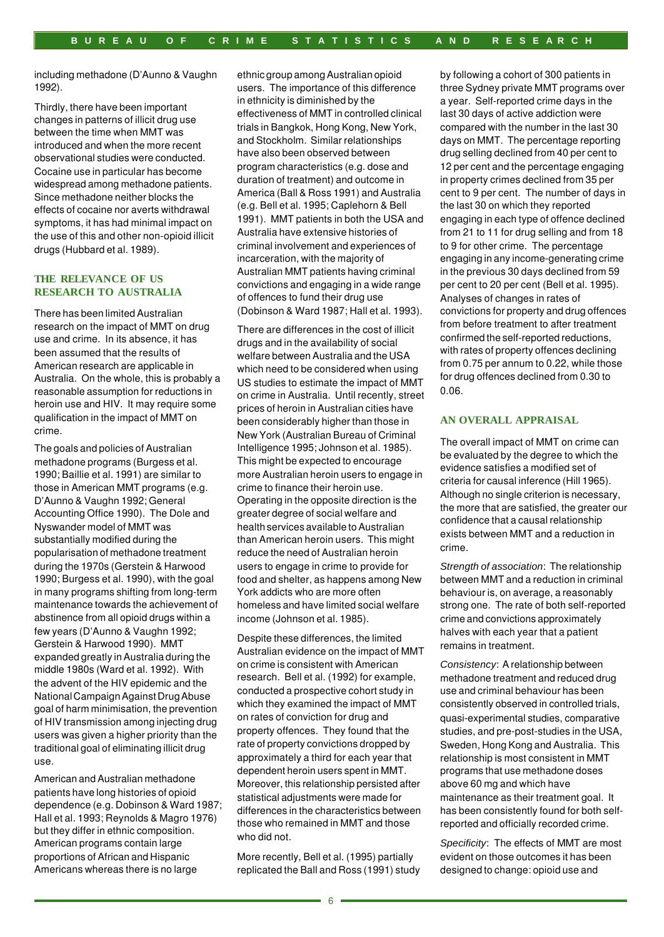including methadone (D'Aunno & Vaughn 1992).

Thirdly, there have been important changes in patterns of illicit drug use between the time when MMT was introduced and when the more recent observational studies were conducted. Cocaine use in particular has become widespread among methadone patients. Since methadone neither blocks the effects of cocaine nor averts withdrawal symptoms, it has had minimal impact on the use of this and other non-opioid illicit drugs (Hubbard et al. 1989).

### **THE RELEVANCE OF US RESEARCH TO AUSTRALIA**

There has been limited Australian research on the impact of MMT on drug use and crime. In its absence, it has been assumed that the results of American research are applicable in Australia. On the whole, this is probably a reasonable assumption for reductions in heroin use and HIV. It may require some qualification in the impact of MMT on crime.

The goals and policies of Australian methadone programs (Burgess et al. 1990; Baillie et al. 1991) are similar to those in American MMT programs (e.g. D'Aunno & Vaughn 1992; General Accounting Office 1990). The Dole and Nyswander model of MMT was substantially modified during the popularisation of methadone treatment during the 1970s (Gerstein & Harwood 1990; Burgess et al. 1990), with the goal in many programs shifting from long-term maintenance towards the achievement of abstinence from all opioid drugs within a few years (D'Aunno & Vaughn 1992; Gerstein & Harwood 1990). MMT expanded greatly in Australia during the middle 1980s (Ward et al. 1992). With the advent of the HIV epidemic and the National Campaign Against Drug Abuse goal of harm minimisation, the prevention of HIV transmission among injecting drug users was given a higher priority than the traditional goal of eliminating illicit drug use.

American and Australian methadone patients have long histories of opioid dependence (e.g. Dobinson & Ward 1987; Hall et al. 1993; Reynolds & Magro 1976) but they differ in ethnic composition. American programs contain large proportions of African and Hispanic Americans whereas there is no large

ethnic group among Australian opioid users. The importance of this difference in ethnicity is diminished by the effectiveness of MMT in controlled clinical trials in Bangkok, Hong Kong, New York, and Stockholm. Similar relationships have also been observed between program characteristics (e.g. dose and duration of treatment) and outcome in America (Ball & Ross 1991) and Australia (e.g. Bell et al. 1995; Caplehorn & Bell 1991). MMT patients in both the USA and Australia have extensive histories of criminal involvement and experiences of incarceration, with the majority of Australian MMT patients having criminal convictions and engaging in a wide range of offences to fund their drug use (Dobinson & Ward 1987; Hall et al. 1993).

There are differences in the cost of illicit drugs and in the availability of social welfare between Australia and the USA which need to be considered when using US studies to estimate the impact of MMT on crime in Australia. Until recently, street prices of heroin in Australian cities have been considerably higher than those in New York (Australian Bureau of Criminal Intelligence 1995; Johnson et al. 1985). This might be expected to encourage more Australian heroin users to engage in crime to finance their heroin use. Operating in the opposite direction is the greater degree of social welfare and health services available to Australian than American heroin users. This might reduce the need of Australian heroin users to engage in crime to provide for food and shelter, as happens among New York addicts who are more often homeless and have limited social welfare income (Johnson et al. 1985).

Despite these differences, the limited Australian evidence on the impact of MMT on crime is consistent with American research. Bell et al. (1992) for example, conducted a prospective cohort study in which they examined the impact of MMT on rates of conviction for drug and property offences. They found that the rate of property convictions dropped by approximately a third for each year that dependent heroin users spent in MMT. Moreover, this relationship persisted after statistical adjustments were made for differences in the characteristics between those who remained in MMT and those who did not.

More recently, Bell et al. (1995) partially replicated the Ball and Ross (1991) study by following a cohort of 300 patients in three Sydney private MMT programs over a year. Self-reported crime days in the last 30 days of active addiction were compared with the number in the last 30 days on MMT. The percentage reporting drug selling declined from 40 per cent to 12 per cent and the percentage engaging in property crimes declined from 35 per cent to 9 per cent. The number of days in the last 30 on which they reported engaging in each type of offence declined from 21 to 11 for drug selling and from 18 to 9 for other crime. The percentage engaging in any income-generating crime in the previous 30 days declined from 59 per cent to 20 per cent (Bell et al. 1995). Analyses of changes in rates of convictions for property and drug offences from before treatment to after treatment confirmed the self-reported reductions, with rates of property offences declining from 0.75 per annum to 0.22, while those for drug offences declined from 0.30 to 0.06.

## **AN OVERALL APPRAISAL**

The overall impact of MMT on crime can be evaluated by the degree to which the evidence satisfies a modified set of criteria for causal inference (Hill 1965). Although no single criterion is necessary, the more that are satisfied, the greater our confidence that a causal relationship exists between MMT and a reduction in crime.

*Strength of association*: The relationship between MMT and a reduction in criminal behaviour is, on average, a reasonably strong one. The rate of both self-reported crime and convictions approximately halves with each year that a patient remains in treatment.

*Consistency*: A relationship between methadone treatment and reduced drug use and criminal behaviour has been consistently observed in controlled trials, quasi-experimental studies, comparative studies, and pre-post-studies in the USA, Sweden, Hong Kong and Australia. This relationship is most consistent in MMT programs that use methadone doses above 60 mg and which have maintenance as their treatment goal. It has been consistently found for both selfreported and officially recorded crime.

*Specificity*: The effects of MMT are most evident on those outcomes it has been designed to change: opioid use and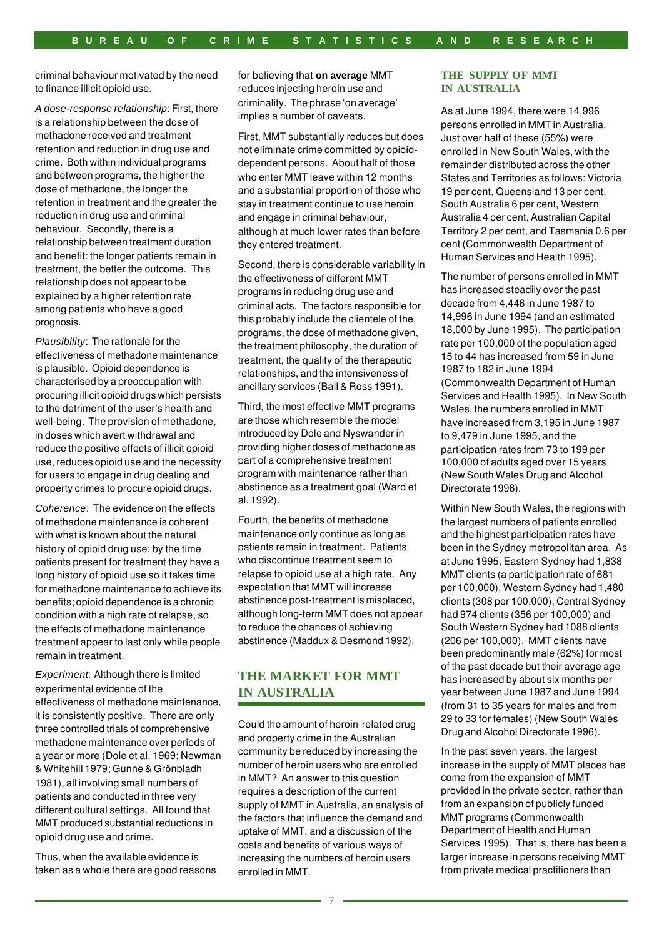criminal behaviour motivated by the need to finance illicit opioid use.

*A dose-response relationship*: First, there is a relationship between the dose of methadone received and treatment retention and reduction in drug use and crime. Both within individual programs and between programs, the higher the dose of methadone, the longer the retention in treatment and the greater the reduction in drug use and criminal behaviour. Secondly, there is a relationship between treatment duration and benefit: the longer patients remain in treatment, the better the outcome. This relationship does not appear to be explained by a higher retention rate among patients who have a good prognosis.

*Plausibility*: The rationale for the effectiveness of methadone maintenance is plausible. Opioid dependence is characterised by a preoccupation with procuring illicit opioid drugs which persists to the detriment of the user's health and well-being. The provision of methadone, in doses which avert withdrawal and reduce the positive effects of illicit opioid use, reduces opioid use and the necessity for users to engage in drug dealing and property crimes to procure opioid drugs.

*Coherence*: The evidence on the effects of methadone maintenance is coherent with what is known about the natural history of opioid drug use: by the time patients present for treatment they have a long history of opioid use so it takes time for methadone maintenance to achieve its benefits; opioid dependence is a chronic condition with a high rate of relapse, so the effects of methadone maintenance treatment appear to last only while people remain in treatment.

*Experiment*: Although there is limited experimental evidence of the effectiveness of methadone maintenance, it is consistently positive. There are only three controlled trials of comprehensive methadone maintenance over periods of a year or more (Dole et al. 1969; Newman & Whitehill 1979; Gunne & Grönbladh 1981), all involving small numbers of patients and conducted in three very different cultural settings. All found that MMT produced substantial reductions in opioid drug use and crime.

Thus, when the available evidence is taken as a whole there are good reasons for believing that **on average** MMT reduces injecting heroin use and criminality. The phrase 'on average' implies a number of caveats.

First, MMT substantially reduces but does not eliminate crime committed by opioiddependent persons. About half of those who enter MMT leave within 12 months and a substantial proportion of those who stay in treatment continue to use heroin and engage in criminal behaviour, although at much lower rates than before they entered treatment.

Second, there is considerable variability in the effectiveness of different MMT programs in reducing drug use and criminal acts. The factors responsible for this probably include the clientele of the programs, the dose of methadone given, the treatment philosophy, the duration of treatment, the quality of the therapeutic relationships, and the intensiveness of ancillary services (Ball & Ross 1991).

Third, the most effective MMT programs are those which resemble the model introduced by Dole and Nyswander in providing higher doses of methadone as part of a comprehensive treatment program with maintenance rather than abstinence as a treatment goal (Ward et al. 1992).

Fourth, the benefits of methadone maintenance only continue as long as patients remain in treatment. Patients who discontinue treatment seem to relapse to opioid use at a high rate. Any expectation that MMT will increase abstinence post-treatment is misplaced, although long-term MMT does not appear to reduce the chances of achieving abstinence (Maddux & Desmond 1992).

# **THE MARKET FOR MMT IN AUSTRALIA**

Could the amount of heroin-related drug and property crime in the Australian community be reduced by increasing the number of heroin users who are enrolled in MMT? An answer to this question requires a description of the current supply of MMT in Australia, an analysis of the factors that influence the demand and uptake of MMT, and a discussion of the costs and benefits of various ways of increasing the numbers of heroin users enrolled in MMT.

#### **THE SUPPLY OF MMT IN AUSTRALIA**

As at June 1994, there were 14,996 persons enrolled in MMT in Australia. Just over half of these (55%) were enrolled in New South Wales, with the remainder distributed across the other States and Territories as follows: Victoria 19 per cent, Queensland 13 per cent, South Australia 6 per cent, Western Australia 4 per cent, Australian Capital Territory 2 per cent, and Tasmania 0.6 per cent (Commonwealth Department of Human Services and Health 1995).

The number of persons enrolled in MMT has increased steadily over the past decade from 4,446 in June 1987 to 14,996 in June 1994 (and an estimated 18,000 by June 1995). The participation rate per 100,000 of the population aged 15 to 44 has increased from 59 in June 1987 to 182 in June 1994 (Commonwealth Department of Human Services and Health 1995). In New South Wales, the numbers enrolled in MMT have increased from 3,195 in June 1987 to 9,479 in June 1995, and the participation rates from 73 to 199 per 100,000 of adults aged over 15 years (New South Wales Drug and Alcohol Directorate 1996).

Within New South Wales, the regions with the largest numbers of patients enrolled and the highest participation rates have been in the Sydney metropolitan area. As at June 1995, Eastern Sydney had 1,838 MMT clients (a participation rate of 681 per 100,000), Western Sydney had 1,480 clients (308 per 100,000), Central Sydney had 974 clients (356 per 100,000) and South Western Sydney had 1088 clients (206 per 100,000). MMT clients have been predominantly male (62%) for most of the past decade but their average age has increased by about six months per year between June 1987 and June 1994 (from 31 to 35 years for males and from 29 to 33 for females) (New South Wales Drug and Alcohol Directorate 1996).

In the past seven years, the largest increase in the supply of MMT places has come from the expansion of MMT provided in the private sector, rather than from an expansion of publicly funded MMT programs (Commonwealth Department of Health and Human Services 1995). That is, there has been a larger increase in persons receiving MMT from private medical practitioners than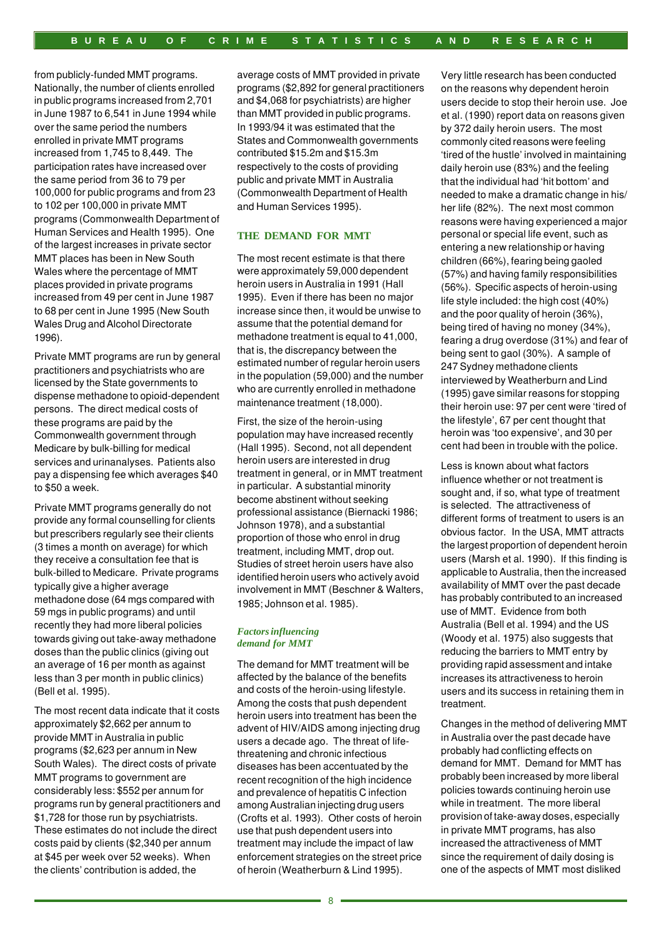from publicly-funded MMT programs. Nationally, the number of clients enrolled in public programs increased from 2,701 in June 1987 to 6,541 in June 1994 while over the same period the numbers enrolled in private MMT programs increased from 1,745 to 8,449. The participation rates have increased over the same period from 36 to 79 per 100,000 for public programs and from 23 to 102 per 100,000 in private MMT programs (Commonwealth Department of Human Services and Health 1995). One of the largest increases in private sector MMT places has been in New South Wales where the percentage of MMT places provided in private programs increased from 49 per cent in June 1987 to 68 per cent in June 1995 (New South Wales Drug and Alcohol Directorate 1996).

Private MMT programs are run by general practitioners and psychiatrists who are licensed by the State governments to dispense methadone to opioid-dependent persons. The direct medical costs of these programs are paid by the Commonwealth government through Medicare by bulk-billing for medical services and urinanalyses. Patients also pay a dispensing fee which averages \$40 to \$50 a week.

Private MMT programs generally do not provide any formal counselling for clients but prescribers regularly see their clients (3 times a month on average) for which they receive a consultation fee that is bulk-billed to Medicare. Private programs typically give a higher average methadone dose (64 mgs compared with 59 mgs in public programs) and until recently they had more liberal policies towards giving out take-away methadone doses than the public clinics (giving out an average of 16 per month as against less than 3 per month in public clinics) (Bell et al. 1995).

The most recent data indicate that it costs approximately \$2,662 per annum to provide MMT in Australia in public programs (\$2,623 per annum in New South Wales). The direct costs of private MMT programs to government are considerably less: \$552 per annum for programs run by general practitioners and \$1,728 for those run by psychiatrists. These estimates do not include the direct costs paid by clients (\$2,340 per annum at \$45 per week over 52 weeks). When the clients' contribution is added, the

average costs of MMT provided in private programs (\$2,892 for general practitioners and \$4,068 for psychiatrists) are higher than MMT provided in public programs. In 1993/94 it was estimated that the States and Commonwealth governments contributed \$15.2m and \$15.3m respectively to the costs of providing public and private MMT in Australia (Commonwealth Department of Health and Human Services 1995).

#### **THE DEMAND FOR MMT**

The most recent estimate is that there were approximately 59,000 dependent heroin users in Australia in 1991 (Hall 1995). Even if there has been no major increase since then, it would be unwise to assume that the potential demand for methadone treatment is equal to 41,000, that is, the discrepancy between the estimated number of regular heroin users in the population (59,000) and the number who are currently enrolled in methadone maintenance treatment (18,000).

First, the size of the heroin-using population may have increased recently (Hall 1995). Second, not all dependent heroin users are interested in drug treatment in general, or in MMT treatment in particular. A substantial minority become abstinent without seeking professional assistance (Biernacki 1986; Johnson 1978), and a substantial proportion of those who enrol in drug treatment, including MMT, drop out. Studies of street heroin users have also identified heroin users who actively avoid involvement in MMT (Beschner & Walters, 1985; Johnson et al. 1985).

#### *Factors influencing demand for MMT*

The demand for MMT treatment will be affected by the balance of the benefits and costs of the heroin-using lifestyle. Among the costs that push dependent heroin users into treatment has been the advent of HIV/AIDS among injecting drug users a decade ago. The threat of lifethreatening and chronic infectious diseases has been accentuated by the recent recognition of the high incidence and prevalence of hepatitis C infection among Australian injecting drug users (Crofts et al. 1993). Other costs of heroin use that push dependent users into treatment may include the impact of law enforcement strategies on the street price of heroin (Weatherburn & Lind 1995).

Very little research has been conducted on the reasons why dependent heroin users decide to stop their heroin use. Joe et al. (1990) report data on reasons given by 372 daily heroin users. The most commonly cited reasons were feeling 'tired of the hustle' involved in maintaining daily heroin use (83%) and the feeling that the individual had 'hit bottom' and needed to make a dramatic change in his/ her life (82%). The next most common reasons were having experienced a major personal or special life event, such as entering a new relationship or having children (66%), fearing being gaoled (57%) and having family responsibilities (56%). Specific aspects of heroin-using life style included: the high cost (40%) and the poor quality of heroin (36%), being tired of having no money (34%), fearing a drug overdose (31%) and fear of being sent to gaol (30%). A sample of 247 Sydney methadone clients interviewed by Weatherburn and Lind (1995) gave similar reasons for stopping their heroin use: 97 per cent were 'tired of the lifestyle', 67 per cent thought that heroin was 'too expensive', and 30 per cent had been in trouble with the police.

Less is known about what factors influence whether or not treatment is sought and, if so, what type of treatment is selected. The attractiveness of different forms of treatment to users is an obvious factor. In the USA, MMT attracts the largest proportion of dependent heroin users (Marsh et al. 1990). If this finding is applicable to Australia, then the increased availability of MMT over the past decade has probably contributed to an increased use of MMT. Evidence from both Australia (Bell et al. 1994) and the US (Woody et al. 1975) also suggests that reducing the barriers to MMT entry by providing rapid assessment and intake increases its attractiveness to heroin users and its success in retaining them in treatment.

Changes in the method of delivering MMT in Australia over the past decade have probably had conflicting effects on demand for MMT. Demand for MMT has probably been increased by more liberal policies towards continuing heroin use while in treatment. The more liberal provision of take-away doses, especially in private MMT programs, has also increased the attractiveness of MMT since the requirement of daily dosing is one of the aspects of MMT most disliked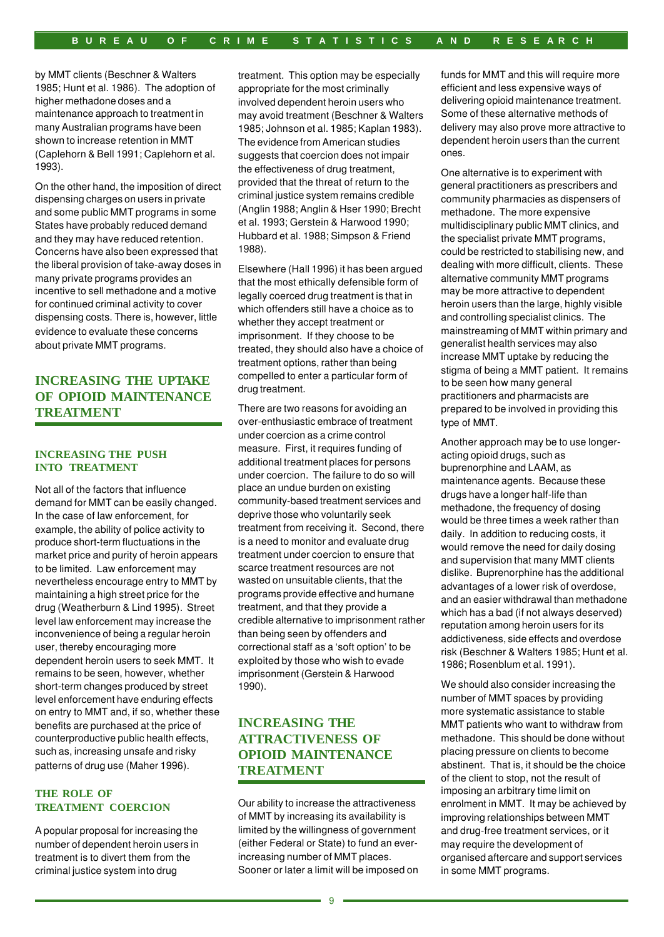by MMT clients (Beschner & Walters 1985; Hunt et al. 1986). The adoption of higher methadone doses and a maintenance approach to treatment in many Australian programs have been shown to increase retention in MMT (Caplehorn & Bell 1991; Caplehorn et al. 1993).

On the other hand, the imposition of direct dispensing charges on users in private and some public MMT programs in some States have probably reduced demand and they may have reduced retention. Concerns have also been expressed that the liberal provision of take-away doses in many private programs provides an incentive to sell methadone and a motive for continued criminal activity to cover dispensing costs. There is, however, little evidence to evaluate these concerns about private MMT programs.

# **INCREASING THE UPTAKE OF OPIOID MAINTENANCE TREATMENT**

## **INCREASING THE PUSH INTO TREATMENT**

Not all of the factors that influence demand for MMT can be easily changed. In the case of law enforcement, for example, the ability of police activity to produce short-term fluctuations in the market price and purity of heroin appears to be limited. Law enforcement may nevertheless encourage entry to MMT by maintaining a high street price for the drug (Weatherburn & Lind 1995). Street level law enforcement may increase the inconvenience of being a regular heroin user, thereby encouraging more dependent heroin users to seek MMT. It remains to be seen, however, whether short-term changes produced by street level enforcement have enduring effects on entry to MMT and, if so, whether these benefits are purchased at the price of counterproductive public health effects, such as, increasing unsafe and risky patterns of drug use (Maher 1996).

#### **THE ROLE OF TREATMENT COERCION**

A popular proposal for increasing the number of dependent heroin users in treatment is to divert them from the criminal justice system into drug

treatment. This option may be especially appropriate for the most criminally involved dependent heroin users who may avoid treatment (Beschner & Walters 1985; Johnson et al. 1985; Kaplan 1983). The evidence from American studies suggests that coercion does not impair the effectiveness of drug treatment, provided that the threat of return to the criminal justice system remains credible (Anglin 1988; Anglin & Hser 1990; Brecht et al. 1993; Gerstein & Harwood 1990; Hubbard et al. 1988; Simpson & Friend 1988).

Elsewhere (Hall 1996) it has been argued that the most ethically defensible form of legally coerced drug treatment is that in which offenders still have a choice as to whether they accept treatment or imprisonment. If they choose to be treated, they should also have a choice of treatment options, rather than being compelled to enter a particular form of drug treatment.

There are two reasons for avoiding an over-enthusiastic embrace of treatment under coercion as a crime control measure. First, it requires funding of additional treatment places for persons under coercion. The failure to do so will place an undue burden on existing community-based treatment services and deprive those who voluntarily seek treatment from receiving it. Second, there is a need to monitor and evaluate drug treatment under coercion to ensure that scarce treatment resources are not wasted on unsuitable clients, that the programs provide effective and humane treatment, and that they provide a credible alternative to imprisonment rather than being seen by offenders and correctional staff as a 'soft option' to be exploited by those who wish to evade imprisonment (Gerstein & Harwood 1990).

# **INCREASING THE ATTRACTIVENESS OF OPIOID MAINTENANCE TREATMENT**

Our ability to increase the attractiveness of MMT by increasing its availability is limited by the willingness of government (either Federal or State) to fund an everincreasing number of MMT places. Sooner or later a limit will be imposed on funds for MMT and this will require more efficient and less expensive ways of delivering opioid maintenance treatment. Some of these alternative methods of delivery may also prove more attractive to dependent heroin users than the current ones.

One alternative is to experiment with general practitioners as prescribers and community pharmacies as dispensers of methadone. The more expensive multidisciplinary public MMT clinics, and the specialist private MMT programs, could be restricted to stabilising new, and dealing with more difficult, clients. These alternative community MMT programs may be more attractive to dependent heroin users than the large, highly visible and controlling specialist clinics. The mainstreaming of MMT within primary and generalist health services may also increase MMT uptake by reducing the stigma of being a MMT patient. It remains to be seen how many general practitioners and pharmacists are prepared to be involved in providing this type of MMT.

Another approach may be to use longeracting opioid drugs, such as buprenorphine and LAAM, as maintenance agents. Because these drugs have a longer half-life than methadone, the frequency of dosing would be three times a week rather than daily. In addition to reducing costs, it would remove the need for daily dosing and supervision that many MMT clients dislike. Buprenorphine has the additional advantages of a lower risk of overdose, and an easier withdrawal than methadone which has a bad (if not always deserved) reputation among heroin users for its addictiveness, side effects and overdose risk (Beschner & Walters 1985; Hunt et al. 1986; Rosenblum et al. 1991).

We should also consider increasing the number of MMT spaces by providing more systematic assistance to stable MMT patients who want to withdraw from methadone. This should be done without placing pressure on clients to become abstinent. That is, it should be the choice of the client to stop, not the result of imposing an arbitrary time limit on enrolment in MMT. It may be achieved by improving relationships between MMT and drug-free treatment services, or it may require the development of organised aftercare and support services in some MMT programs.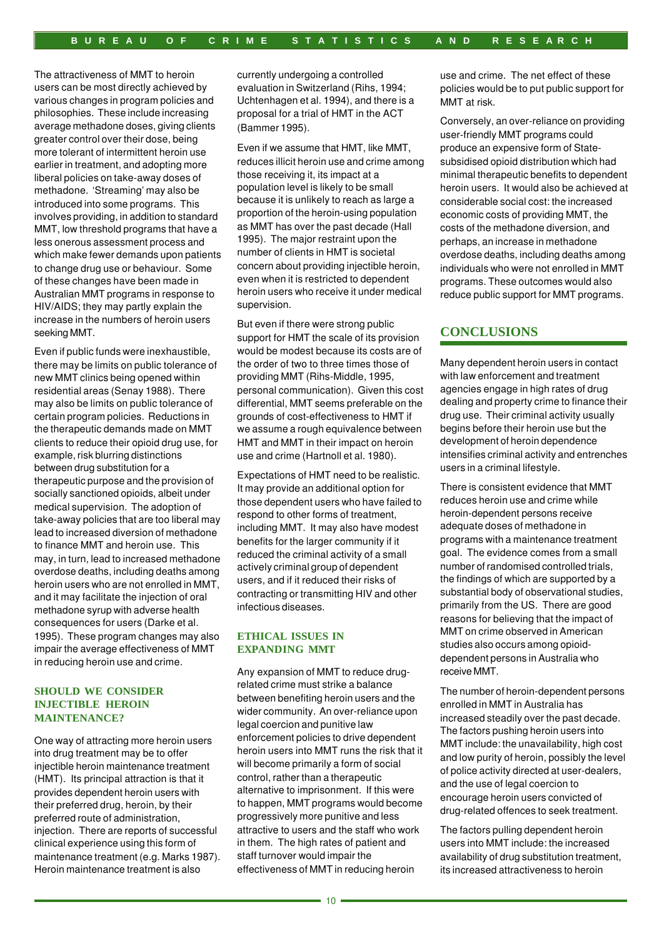The attractiveness of MMT to heroin users can be most directly achieved by various changes in program policies and philosophies. These include increasing average methadone doses, giving clients greater control over their dose, being more tolerant of intermittent heroin use earlier in treatment, and adopting more liberal policies on take-away doses of methadone. 'Streaming' may also be introduced into some programs. This involves providing, in addition to standard MMT, low threshold programs that have a less onerous assessment process and which make fewer demands upon patients to change drug use or behaviour. Some of these changes have been made in Australian MMT programs in response to HIV/AIDS; they may partly explain the increase in the numbers of heroin users seeking MMT.

Even if public funds were inexhaustible, there may be limits on public tolerance of new MMT clinics being opened within residential areas (Senay 1988). There may also be limits on public tolerance of certain program policies. Reductions in the therapeutic demands made on MMT clients to reduce their opioid drug use, for example, risk blurring distinctions between drug substitution for a therapeutic purpose and the provision of socially sanctioned opioids, albeit under medical supervision. The adoption of take-away policies that are too liberal may lead to increased diversion of methadone to finance MMT and heroin use. This may, in turn, lead to increased methadone overdose deaths, including deaths among heroin users who are not enrolled in MMT, and it may facilitate the injection of oral methadone syrup with adverse health consequences for users (Darke et al. 1995). These program changes may also impair the average effectiveness of MMT in reducing heroin use and crime.

#### **SHOULD WE CONSIDER INJECTIBLE HEROIN MAINTENANCE?**

One way of attracting more heroin users into drug treatment may be to offer injectible heroin maintenance treatment (HMT). Its principal attraction is that it provides dependent heroin users with their preferred drug, heroin, by their preferred route of administration, injection. There are reports of successful clinical experience using this form of maintenance treatment (e.g. Marks 1987). Heroin maintenance treatment is also

currently undergoing a controlled evaluation in Switzerland (Rihs, 1994; Uchtenhagen et al. 1994), and there is a proposal for a trial of HMT in the ACT (Bammer 1995).

Even if we assume that HMT, like MMT, reduces illicit heroin use and crime among those receiving it, its impact at a population level is likely to be small because it is unlikely to reach as large a proportion of the heroin-using population as MMT has over the past decade (Hall 1995). The major restraint upon the number of clients in HMT is societal concern about providing injectible heroin, even when it is restricted to dependent heroin users who receive it under medical supervision.

But even if there were strong public support for HMT the scale of its provision would be modest because its costs are of the order of two to three times those of providing MMT (Rihs-Middle, 1995, personal communication). Given this cost differential, MMT seems preferable on the grounds of cost-effectiveness to HMT if we assume a rough equivalence between HMT and MMT in their impact on heroin use and crime (Hartnoll et al. 1980).

Expectations of HMT need to be realistic. It may provide an additional option for those dependent users who have failed to respond to other forms of treatment, including MMT. It may also have modest benefits for the larger community if it reduced the criminal activity of a small actively criminal group of dependent users, and if it reduced their risks of contracting or transmitting HIV and other infectious diseases.

#### **ETHICAL ISSUES IN EXPANDING MMT**

Any expansion of MMT to reduce drugrelated crime must strike a balance between benefiting heroin users and the wider community. An over-reliance upon legal coercion and punitive law enforcement policies to drive dependent heroin users into MMT runs the risk that it will become primarily a form of social control, rather than a therapeutic alternative to imprisonment. If this were to happen, MMT programs would become progressively more punitive and less attractive to users and the staff who work in them. The high rates of patient and staff turnover would impair the effectiveness of MMT in reducing heroin

use and crime. The net effect of these policies would be to put public support for MMT at risk.

Conversely, an over-reliance on providing user-friendly MMT programs could produce an expensive form of Statesubsidised opioid distribution which had minimal therapeutic benefits to dependent heroin users. It would also be achieved at considerable social cost: the increased economic costs of providing MMT, the costs of the methadone diversion, and perhaps, an increase in methadone overdose deaths, including deaths among individuals who were not enrolled in MMT programs. These outcomes would also reduce public support for MMT programs.

## **CONCLUSIONS**

Many dependent heroin users in contact with law enforcement and treatment agencies engage in high rates of drug dealing and property crime to finance their drug use. Their criminal activity usually begins before their heroin use but the development of heroin dependence intensifies criminal activity and entrenches users in a criminal lifestyle.

There is consistent evidence that MMT reduces heroin use and crime while heroin-dependent persons receive adequate doses of methadone in programs with a maintenance treatment goal. The evidence comes from a small number of randomised controlled trials, the findings of which are supported by a substantial body of observational studies, primarily from the US. There are good reasons for believing that the impact of MMT on crime observed in American studies also occurs among opioiddependent persons in Australia who receive MMT.

The number of heroin-dependent persons enrolled in MMT in Australia has increased steadily over the past decade. The factors pushing heroin users into MMT include: the unavailability, high cost and low purity of heroin, possibly the level of police activity directed at user-dealers, and the use of legal coercion to encourage heroin users convicted of drug-related offences to seek treatment.

The factors pulling dependent heroin users into MMT include: the increased availability of drug substitution treatment, its increased attractiveness to heroin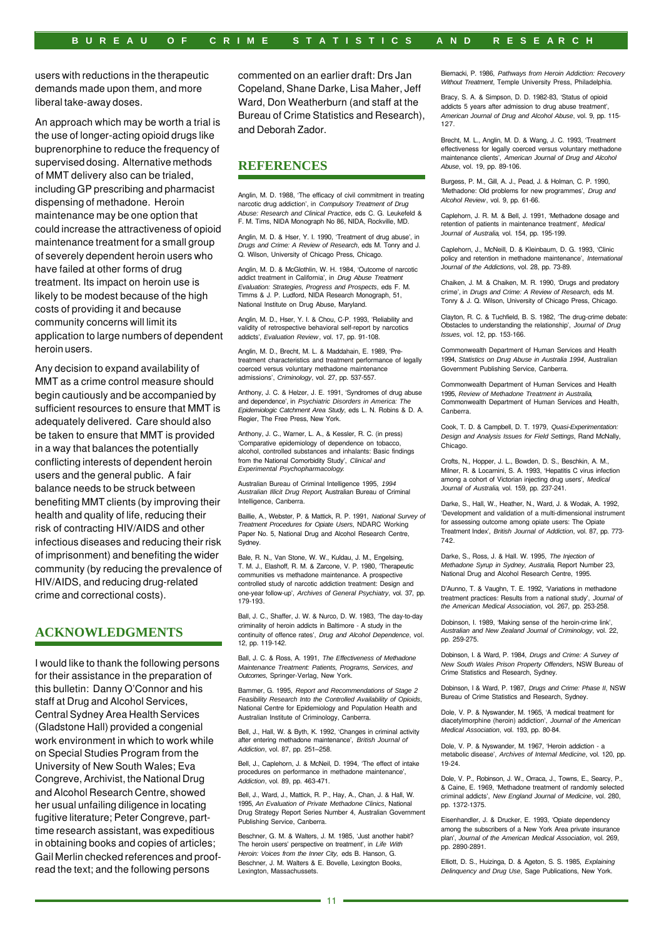users with reductions in the therapeutic demands made upon them, and more liberal take-away doses.

An approach which may be worth a trial is the use of longer-acting opioid drugs like buprenorphine to reduce the frequency of supervised dosing. Alternative methods of MMT delivery also can be trialed, including GP prescribing and pharmacist dispensing of methadone. Heroin maintenance may be one option that could increase the attractiveness of opioid maintenance treatment for a small group of severely dependent heroin users who have failed at other forms of drug treatment. Its impact on heroin use is likely to be modest because of the high costs of providing it and because community concerns will limit its application to large numbers of dependent heroin users.

Any decision to expand availability of MMT as a crime control measure should begin cautiously and be accompanied by sufficient resources to ensure that MMT is adequately delivered. Care should also be taken to ensure that MMT is provided in a way that balances the potentially conflicting interests of dependent heroin users and the general public. A fair balance needs to be struck between benefiting MMT clients (by improving their health and quality of life, reducing their risk of contracting HIV/AIDS and other infectious diseases and reducing their risk of imprisonment) and benefiting the wider community (by reducing the prevalence of HIV/AIDS, and reducing drug-related crime and correctional costs).

## **ACKNOWLEDGMENTS**

I would like to thank the following persons for their assistance in the preparation of this bulletin: Danny O'Connor and his staff at Drug and Alcohol Services, Central Sydney Area Health Services (Gladstone Hall) provided a congenial work environment in which to work while on Special Studies Program from the University of New South Wales; Eva Congreve, Archivist, the National Drug and Alcohol Research Centre, showed her usual unfailing diligence in locating fugitive literature; Peter Congreve, parttime research assistant, was expeditious in obtaining books and copies of articles; Gail Merlin checked references and proofread the text; and the following persons

commented on an earlier draft: Drs Jan Copeland, Shane Darke, Lisa Maher, Jeff Ward, Don Weatherburn (and staff at the Bureau of Crime Statistics and Research), and Deborah Zador.

## **REFERENCES**

Anglin, M. D. 1988, 'The efficacy of civil commitment in treating narcotic drug addiction', in *Compulsory Treatment of Drug Abuse: Research and Clinical Practice*, eds C. G. Leukefeld & F. M. Tims, NIDA Monograph No 86, NIDA, Rockville, MD.

Anglin, M. D. & Hser, Y. I. 1990, 'Treatment of drug abuse', in *Drugs and Crime: A Review of Research*, eds M. Tonry and J. Q. Wilson, University of Chicago Press, Chicago.

Anglin, M. D. & McGlothlin, W. H. 1984, 'Outcome of narcotic addict treatment in California', in *Drug Abuse Treatment Evaluation: Strategies, Progress and Prospects*, eds F. M. Timms & J. P. Ludford, NIDA Research Monograph, 51, National Institute on Drug Abuse, Maryland.

Anglin, M. D., Hser, Y. I. & Chou, C-P. 1993, 'Reliability and validity of retrospective behavioral self-report by narcotics addicts', *Evaluation Review*, vol. 17, pp. 91-108.

Anglin, M. D., Brecht, M. L. & Maddahain, E. 1989, 'Pretreatment characteristics and treatment performance of legally coerced versus voluntary methadone maintenance admissions', *Criminology*, vol. 27, pp. 537-557.

Anthony, J. C. & Helzer, J. E. 1991, 'Syndromes of drug abuse and dependence', in *Psychiatric Disorders in America: The Epidemiologic Catchment Area Study*, eds L. N. Robins & D. A. Regier, The Free Press, New York.

Anthony, J. C., Warner, L. A., & Kessler, R. C. (in press) 'Comparative epidemiology of dependence on tobacco, alcohol, controlled substances and inhalants: Basic findings from the National Comorbidity Study', *Clinical and Experimental Psychopharmacology*.

Australian Bureau of Criminal Intelligence 1995, *1994 Australian Illicit Drug Report*, Australian Bureau of Criminal Intelligence, Canberra.

Baillie, A., Webster, P. & Mattick, R. P. 1991, *National Survey of Treatment Procedures for Opiate Users*, NDARC Working Paper No. 5, National Drug and Alcohol Research Centre, **Sydney** 

Bale, R. N., Van Stone, W. W., Kuldau, J. M., Engelsing, T. M. J., Elashoff, R. M. & Zarcone, V. P. 1980, 'Therapeutic communities vs methadone maintenance. A prospective controlled study of narcotic addiction treatment: Design and one-year follow-up', *Archives of General Psychiatry*, vol. 37, pp. 179-193.

Ball, J. C., Shaffer, J. W. & Nurco, D. W. 1983, 'The day-to-day criminality of heroin addicts in Baltimore - A study in the continuity of offence rates', *Drug and Alcohol Dependence*, vol. 12, pp. 119-142.

Ball, J. C. & Ross, A. 1991, *The Effectiveness of Methadone Maintenance Treatment: Patients, Programs, Services, and Outcomes*, Springer-Verlag, New York.

Bammer, G. 1995, *Report and Recommendations of Stage 2 Feasibility Research Into the Controlled Availability of Opioids*, National Centre for Epidemiology and Population Health and Australian Institute of Criminology, Canberra.

Bell, J., Hall, W. & Byth, K. 1992, 'Changes in criminal activity after entering methadone maintenance', *British Journal of Addiction*, vol. 87, pp. 251–258.

Bell, J., Caplehorn, J. & McNeil, D. 1994, 'The effect of intake procedures on performance in methadone maintenance', *Addiction*, vol. 89, pp. 463-471.

Bell, J., Ward, J., Mattick, R. P., Hay, A., Chan, J. & Hall, W. 1995, *An Evaluation of Private Methadone Clinics*, National Drug Strategy Report Series Number 4, Australian Government Publishing Service, Canberra.

Beschner, G. M. & Walters, J. M. 1985, 'Just another habit? The heroin users' perspective on treatment', in *Life With Heroin: Voices from the Inner City,* eds B. Hanson, G. Beschner, J. M. Walters & E. Bovelle, Lexington Books, Lexington, Massachussets.

Biernacki, P. 1986, *Pathways from Heroin Addiction: Recovery Without Treatment*, Temple University Press, Philadelphia.

Bracy, S. A. & Simpson, D. D. 1982-83, 'Status of opioid addicts 5 years after admission to drug abuse treatment', *American Journal of Drug and Alcohol Abuse*, vol. 9, pp. 115- 127.

Brecht, M. L., Anglin, M. D. & Wang, J. C. 1993, 'Treatment effectiveness for legally coerced versus voluntary methadone maintenance clients', *American Journal of Drug and Alcohol Abuse*, vol. 19, pp. 89-106.

Burgess, P. M., Gill, A. J., Pead, J. & Holman, C. P. 1990, 'Methadone: Old problems for new programmes', *Drug and Alcohol Review*, vol. 9, pp. 61-66.

Caplehorn, J. R. M. & Bell, J. 1991, 'Methadone dosage and retention of patients in maintenance treatment', *Medical Journal of Australia*, vol. 154, pp. 195-199.

Caplehorn, J., McNeill, D. & Kleinbaum, D. G. 1993, 'Clinic policy and retention in methadone maintenance', *International Journal of the Addictions*, vol. 28, pp. 73-89.

Chaiken, J. M. & Chaiken, M. R. 1990, 'Drugs and predatory crime', in *Drugs and Crime: A Review of Research*, eds M. Tonry & J. Q. Wilson, University of Chicago Press, Chicago.

Clayton, R. C. & Tuchfield, B. S. 1982, 'The drug-crime debate: Obstacles to understanding the relationship', *Journal of Drug Issues*, vol. 12, pp. 153-166.

Commonwealth Department of Human Services and Health 1994, *Statistics on Drug Abuse in Australia 1994*, Australian Government Publishing Service, Canberra.

Commonwealth Department of Human Services and Health 1995, *Review of Methadone Treatment in Australia*, Commonwealth Department of Human Services and Health, Canberra.

Cook, T. D. & Campbell, D. T. 1979, *Quasi-Experimentation: Design and Analysis Issues for Field Settings*, Rand McNally, Chicago.

Crofts, N., Hopper, J. L., Bowden, D. S., Beschkin, A. M., Milner, R. & Locarnini, S. A. 1993, 'Hepatitis C virus infection among a cohort of Victorian injecting drug users', *Medical Journal of Australia*, vol. 159, pp. 237-241.

Darke, S., Hall, W., Heather, N., Ward, J. & Wodak, A. 1992, 'Development and validation of a multi-dimensional instrument for assessing outcome among opiate users: The Opiate Treatment Index', *British Journal of Addiction*, vol. 87, pp. 773- 742.

Darke, S., Ross, J. & Hall. W. 1995, *The Injection of Methadone Syrup in Sydney, Australia*, Report Number 23, National Drug and Alcohol Research Centre, 1995.

D'Aunno, T. & Vaughn, T. E. 1992, 'Variations in methadone treatment practices: Results from a national study', *Journal of the American Medical Association*, vol. 267, pp. 253-258.

Dobinson, I. 1989, 'Making sense of the heroin-crime link', *Australian and New Zealand Journal of Criminology*, vol. 22, pp. 259-275.

Dobinson, I. & Ward, P. 1984, *Drugs and Crime: A Survey of New South Wales Prison Property Offenders*, NSW Bureau of Crime Statistics and Research, Sydney.

Dobinson, I & Ward, P. 1987, *Drugs and Crime: Phase II*, NSW Bureau of Crime Statistics and Research, Sydney.

Dole, V. P. & Nyswander, M. 1965, 'A medical treatment for diacetylmorphine (heroin) addiction', *Journal of the American Medical Association*, vol. 193, pp. 80-84.

Dole, V. P. & Nyswander, M. 1967, 'Heroin addiction - a metabolic disease', *Archives of Internal Medicine*, vol. 120, pp. 19-24.

Dole, V. P., Robinson, J. W., Orraca, J., Towns, E., Searcy, P., & Caine, E. 1969, 'Methadone treatment of randomly selected criminal addicts', *New England Journal of Medicine*, vol. 280, pp. 1372-1375.

Eisenhandler, J. & Drucker, E. 1993, 'Opiate dependency among the subscribers of a New York Area private insurance plan', *Journal of the American Medical Association*, vol. 269, pp. 2890-2891.

Elliott, D. S., Huizinga, D. & Ageton, S. S. 1985, *Explaining Delinquency and Drug Use*, Sage Publications, New York.